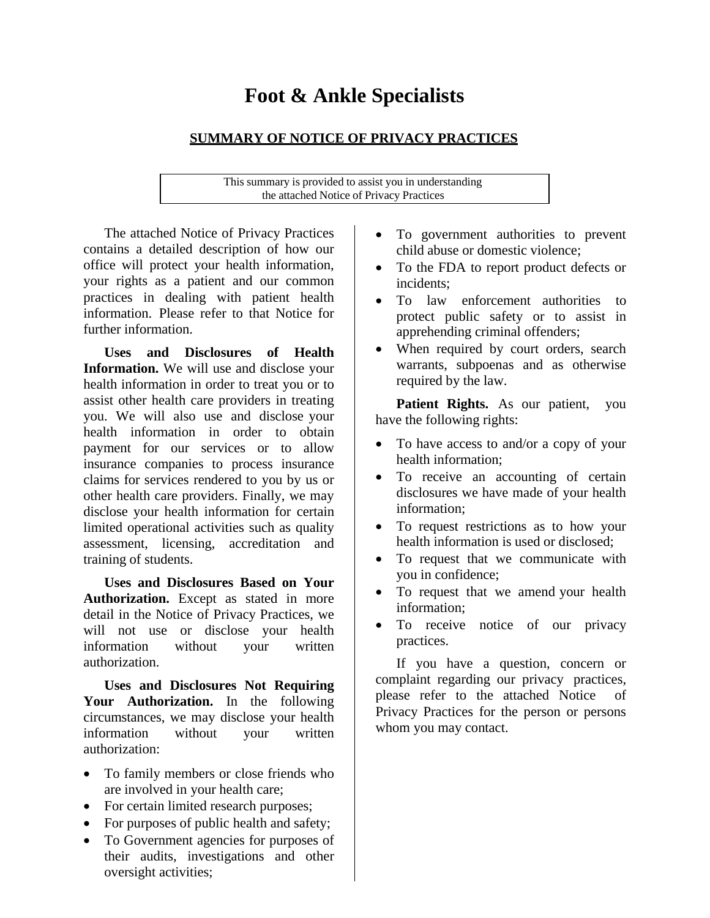# **Foot & Ankle Specialists**

# **SUMMARY OF NOTICE OF PRIVACY PRACTICES**

This summary is provided to assist you in understanding the attached Notice of Privacy Practices

The attached Notice of Privacy Practices contains a detailed description of how our office will protect your health information, your rights as a patient and our common practices in dealing with patient health information. Please refer to that Notice for further information.

**Uses and Disclosures of Health Information.** We will use and disclose your health information in order to treat you or to assist other health care providers in treating you. We will also use and disclose your health information in order to obtain payment for our services or to allow insurance companies to process insurance claims for services rendered to you by us or other health care providers. Finally, we may disclose your health information for certain limited operational activities such as quality assessment, licensing, accreditation and training of students.

**Uses and Disclosures Based on Your Authorization.** Except as stated in more detail in the Notice of Privacy Practices, we will not use or disclose your health information without your written authorization.

**Uses and Disclosures Not Requiring**  Your Authorization. In the following circumstances, we may disclose your health information without your written authorization:

- To family members or close friends who are involved in your health care;
- For certain limited research purposes;
- For purposes of public health and safety;
- To Government agencies for purposes of their audits, investigations and other oversight activities;
- To government authorities to prevent child abuse or domestic violence;
- To the FDA to report product defects or incidents;
- To law enforcement authorities to protect public safety or to assist in apprehending criminal offenders;
- When required by court orders, search warrants, subpoenas and as otherwise required by the law.

Patient Rights. As our patient, you have the following rights:

- To have access to and/or a copy of your health information;
- To receive an accounting of certain disclosures we have made of your health information;
- To request restrictions as to how your health information is used or disclosed;
- To request that we communicate with you in confidence;
- To request that we amend your health information;
- To receive notice of our privacy practices.

If you have a question, concern or complaint regarding our privacy practices, please refer to the attached Notice of Privacy Practices for the person or persons whom you may contact.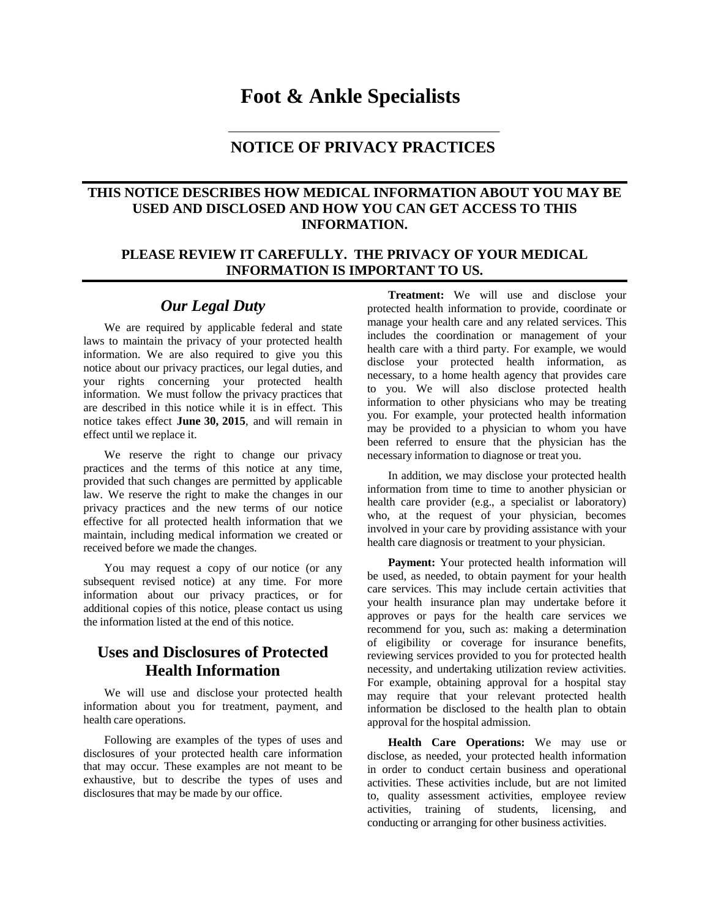# **Foot & Ankle Specialists**

## **NOTICE OF PRIVACY PRACTICES**

#### **THIS NOTICE DESCRIBES HOW MEDICAL INFORMATION ABOUT YOU MAY BE USED AND DISCLOSED AND HOW YOU CAN GET ACCESS TO THIS INFORMATION.**

#### **PLEASE REVIEW IT CAREFULLY. THE PRIVACY OF YOUR MEDICAL INFORMATION IS IMPORTANT TO US.**

#### *Our Legal Duty*

We are required by applicable federal and state laws to maintain the privacy of your protected health information. We are also required to give you this notice about our privacy practices, our legal duties, and your rights concerning your protected health information. We must follow the privacy practices that are described in this notice while it is in effect. This notice takes effect **June 30, 2015**, and will remain in effect until we replace it.

We reserve the right to change our privacy practices and the terms of this notice at any time, provided that such changes are permitted by applicable law. We reserve the right to make the changes in our privacy practices and the new terms of our notice effective for all protected health information that we maintain, including medical information we created or received before we made the changes.

You may request a copy of our notice (or any subsequent revised notice) at any time. For more information about our privacy practices, or for additional copies of this notice, please contact us using the information listed at the end of this notice.

# **Uses and Disclosures of Protected Health Information**

We will use and disclose your protected health information about you for treatment, payment, and health care operations.

Following are examples of the types of uses and disclosures of your protected health care information that may occur. These examples are not meant to be exhaustive, but to describe the types of uses and disclosures that may be made by our office.

**Treatment:** We will use and disclose your protected health information to provide, coordinate or manage your health care and any related services. This includes the coordination or management of your health care with a third party. For example, we would disclose your protected health information, as necessary, to a home health agency that provides care to you. We will also disclose protected health information to other physicians who may be treating you. For example, your protected health information may be provided to a physician to whom you have been referred to ensure that the physician has the necessary information to diagnose or treat you.

In addition, we may disclose your protected health information from time to time to another physician or health care provider (e.g., a specialist or laboratory) who, at the request of your physician, becomes involved in your care by providing assistance with your health care diagnosis or treatment to your physician.

**Payment:** Your protected health information will be used, as needed, to obtain payment for your health care services. This may include certain activities that your health insurance plan may undertake before it approves or pays for the health care services we recommend for you, such as: making a determination of eligibility or coverage for insurance benefits, reviewing services provided to you for protected health necessity, and undertaking utilization review activities. For example, obtaining approval for a hospital stay may require that your relevant protected health information be disclosed to the health plan to obtain approval for the hospital admission.

**Health Care Operations:** We may use or disclose, as needed, your protected health information in order to conduct certain business and operational activities. These activities include, but are not limited to, quality assessment activities, employee review activities, training of students, licensing, and conducting or arranging for other business activities.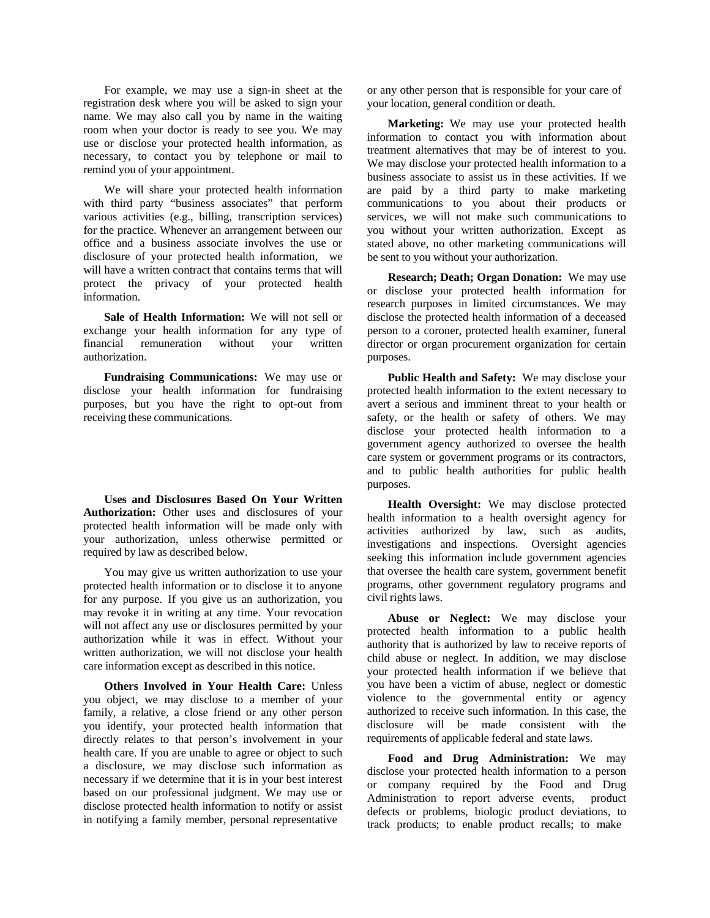For example, we may use a sign-in sheet at the registration desk where you will be asked to sign your name. We may also call you by name in the waiting room when your doctor is ready to see you. We may use or disclose your protected health information, as necessary, to contact you by telephone or mail to remind you of your appointment.

We will share your protected health information with third party "business associates" that perform various activities (e.g., billing, transcription services) for the practice. Whenever an arrangement between our office and a business associate involves the use or disclosure of your protected health information, we will have a written contract that contains terms that will protect the privacy of your protected health information.

**Sale of Health Information:** We will not sell or exchange your health information for any type of financial remuneration without your written authorization.

**Fundraising Communications:** We may use or disclose your health information for fundraising purposes, but you have the right to opt-out from receiving these communications.

**Uses and Disclosures Based On Your Written** Authorization: Other uses and disclosures of your protected health information will be made only with your authorization, unless otherwise permitted or required by law as described below.

You may give us written authorization to use your protected health information or to disclose it to anyone for any purpose. If you give us an authorization, you may revoke it in writing at any time. Your revocation will not affect any use or disclosures permitted by your authorization while it was in effect. Without your written authorization, we will not disclose your health care information except as described in this notice.

**Others Involved in Your Health Care:** Unless you object, we may disclose to a member of your family, a relative, a close friend or any other person you identify, your protected health information that directly relates to that person's involvement in your health care. If you are unable to agree or object to such a disclosure, we may disclose such information as necessary if we determine that it is in your best interest based on our professional judgment. We may use or disclose protected health information to notify or assist in notifying a family member, personal representative

or any other person that is responsible for your care of your location, general condition or death.

**Marketing:** We may use your protected health information to contact you with information about treatment alternatives that may be of interest to you. We may disclose your protected health information to a business associate to assist us in these activities. If we are paid by a third party to make marketing communications to you about their products or services, we will not make such communications to you without your written authorization. Except as stated above, no other marketing communications will be sent to you without your authorization.

**Research; Death; Organ Donation:** We may use or disclose your protected health information for research purposes in limited circumstances. We may disclose the protected health information of a deceased person to a coroner, protected health examiner, funeral director or organ procurement organization for certain purposes.

**Public Health and Safety:** We may disclose your protected health information to the extent necessary to avert a serious and imminent threat to your health or safety, or the health or safety of others. We may disclose your protected health information to a government agency authorized to oversee the health care system or government programs or its contractors, and to public health authorities for public health purposes.

**Health Oversight:** We may disclose protected health information to a health oversight agency for activities authorized by law, such as audits, investigations and inspections. Oversight agencies seeking this information include government agencies that oversee the health care system, government benefit programs, other government regulatory programs and civil rights laws.

**Abuse or Neglect:** We may disclose your protected health information to a public health authority that is authorized by law to receive reports of child abuse or neglect. In addition, we may disclose your protected health information if we believe that you have been a victim of abuse, neglect or domestic violence to the governmental entity or agency authorized to receive such information. In this case, the disclosure will be made consistent with the requirements of applicable federal and state laws.

**Food and Drug Administration:** We may disclose your protected health information to a person or company required by the Food and Drug Administration to report adverse events, product defects or problems, biologic product deviations, to track products; to enable product recalls; to make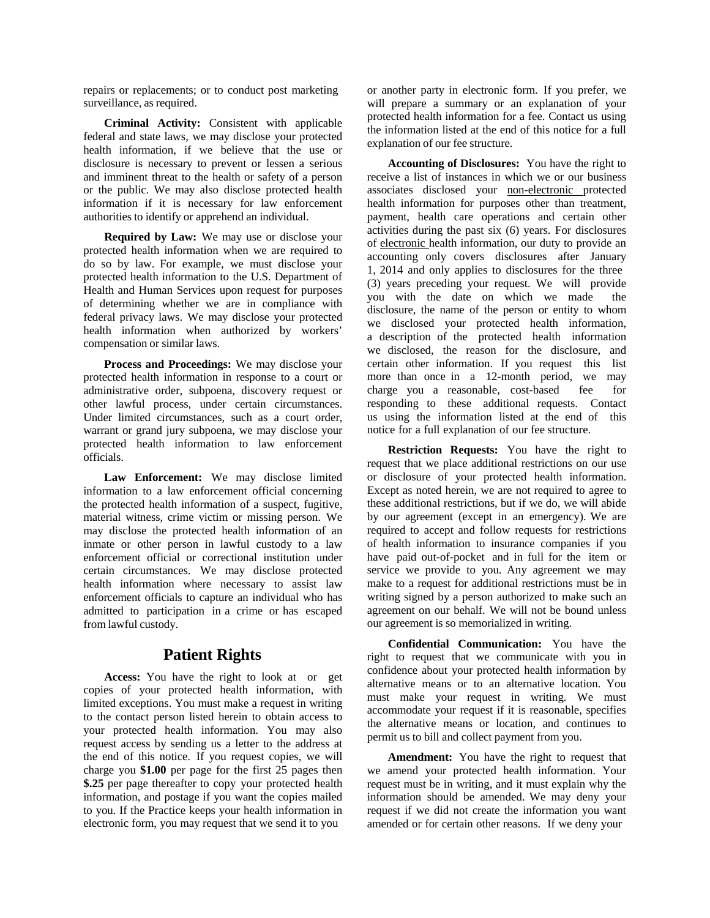repairs or replacements; or to conduct post marketing surveillance, as required.

**Criminal Activity:** Consistent with applicable federal and state laws, we may disclose your protected health information, if we believe that the use or disclosure is necessary to prevent or lessen a serious and imminent threat to the health or safety of a person or the public. We may also disclose protected health information if it is necessary for law enforcement authorities to identify or apprehend an individual.

**Required by Law:** We may use or disclose your protected health information when we are required to do so by law. For example, we must disclose your protected health information to the U.S. Department of Health and Human Services upon request for purposes of determining whether we are in compliance with federal privacy laws. We may disclose your protected health information when authorized by workers' compensation or similar laws.

**Process and Proceedings:** We may disclose your protected health information in response to a court or administrative order, subpoena, discovery request or other lawful process, under certain circumstances. Under limited circumstances, such as a court order, warrant or grand jury subpoena, we may disclose your protected health information to law enforcement officials.

**Law Enforcement:** We may disclose limited information to a law enforcement official concerning the protected health information of a suspect, fugitive, material witness, crime victim or missing person. We may disclose the protected health information of an inmate or other person in lawful custody to a law enforcement official or correctional institution under certain circumstances. We may disclose protected health information where necessary to assist law enforcement officials to capture an individual who has admitted to participation in a crime or has escaped from lawful custody.

#### **Patient Rights**

**Access:** You have the right to look at or get copies of your protected health information, with limited exceptions. You must make a request in writing to the contact person listed herein to obtain access to your protected health information. You may also request access by sending us a letter to the address at the end of this notice. If you request copies, we will charge you **\$1.00** per page for the first 25 pages then **\$.25** per page thereafter to copy your protected health information, and postage if you want the copies mailed to you. If the Practice keeps your health information in electronic form, you may request that we send it to you

or another party in electronic form. If you prefer, we will prepare a summary or an explanation of your protected health information for a fee. Contact us using the information listed at the end of this notice for a full explanation of our fee structure.

**Accounting of Disclosures:** You have the right to receive a list of instances in which we or our business associates disclosed your non-electronic protected health information for purposes other than treatment, payment, health care operations and certain other activities during the past six (6) years. For disclosures of electronic health information, our duty to provide an accounting only covers disclosures after January 1, 2014 and only applies to disclosures for the three (3) years preceding your request. We will provide you with the date on which we made the disclosure, the name of the person or entity to whom we disclosed your protected health information, a description of the protected health information we disclosed, the reason for the disclosure, and certain other information. If you request this list more than once in a 12-month period, we may charge you a reasonable, cost-based fee for responding to these additional requests. Contact us using the information listed at the end of this notice for a full explanation of our fee structure.

**Restriction Requests:** You have the right to request that we place additional restrictions on our use or disclosure of your protected health information. Except as noted herein, we are not required to agree to these additional restrictions, but if we do, we will abide by our agreement (except in an emergency). We are required to accept and follow requests for restrictions of health information to insurance companies if you have paid out-of-pocket and in full for the item or service we provide to you. Any agreement we may make to a request for additional restrictions must be in writing signed by a person authorized to make such an agreement on our behalf. We will not be bound unless our agreement is so memorialized in writing.

**Confidential Communication:** You have the right to request that we communicate with you in confidence about your protected health information by alternative means or to an alternative location. You must make your request in writing. We must accommodate your request if it is reasonable, specifies the alternative means or location, and continues to permit us to bill and collect payment from you.

**Amendment:** You have the right to request that we amend your protected health information. Your request must be in writing, and it must explain why the information should be amended. We may deny your request if we did not create the information you want amended or for certain other reasons. If we deny your